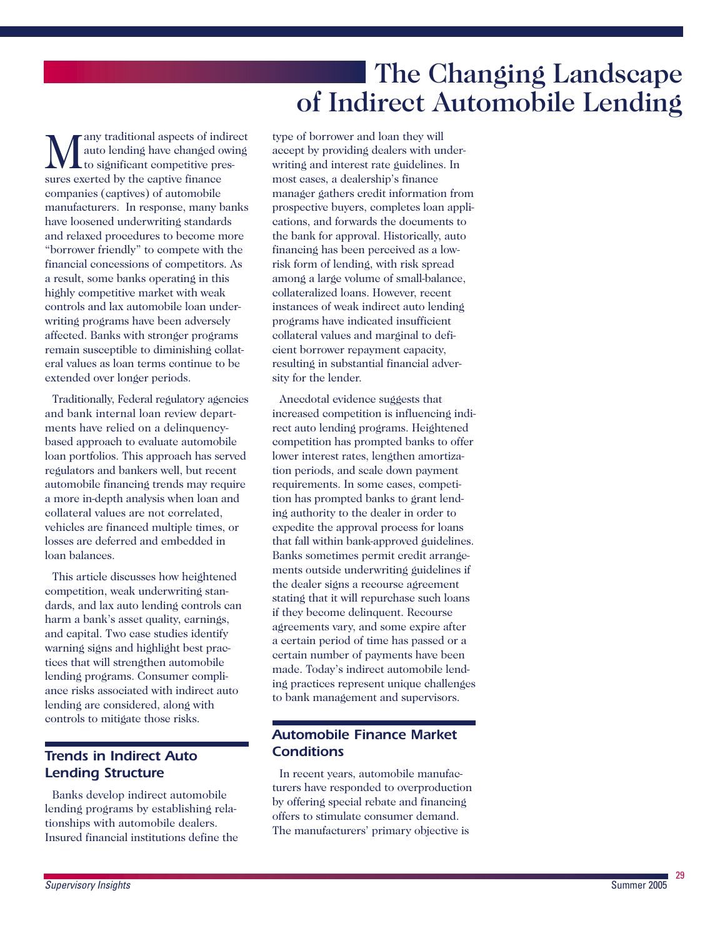# The Changing Landscape of Indirect Automobile Lending

**M** any traditional aspects of indirect<br>to significant competitive pressures exerted by the cantive finance auto lending have changed owing **L**to significant competitive pressures exerted by the captive finance companies (captives) of automobile manufacturers. In response, many banks have loosened underwriting standards and relaxed procedures to become more "borrower friendly" to compete with the financial concessions of competitors. As a result, some banks operating in this highly competitive market with weak controls and lax automobile loan underwriting programs have been adversely affected. Banks with stronger programs remain susceptible to diminishing collateral values as loan terms continue to be extended over longer periods.

Traditionally, Federal regulatory agencies and bank internal loan review departments have relied on a delinquencybased approach to evaluate automobile loan portfolios. This approach has served regulators and bankers well, but recent automobile financing trends may require a more in-depth analysis when loan and collateral values are not correlated, vehicles are financed multiple times, or losses are deferred and embedded in loan balances.

This article discusses how heightened competition, weak underwriting standards, and lax auto lending controls can harm a bank's asset quality, earnings, and capital. Two case studies identify warning signs and highlight best practices that will strengthen automobile lending programs. Consumer compliance risks associated with indirect auto lending are considered, along with controls to mitigate those risks.

# *Trends in Indirect Auto Lending Structure*

Banks develop indirect automobile lending programs by establishing relationships with automobile dealers. Insured financial institutions define the

type of borrower and loan they will accept by providing dealers with underwriting and interest rate guidelines. In most cases, a dealership's finance manager gathers credit information from prospective buyers, completes loan applications, and forwards the documents to the bank for approval. Historically, auto financing has been perceived as a lowrisk form of lending, with risk spread among a large volume of small-balance, collateralized loans. However, recent instances of weak indirect auto lending programs have indicated insufficient collateral values and marginal to deficient borrower repayment capacity, resulting in substantial financial adversity for the lender.

Anecdotal evidence suggests that increased competition is influencing indirect auto lending programs. Heightened competition has prompted banks to offer lower interest rates, lengthen amortization periods, and scale down payment requirements. In some cases, competition has prompted banks to grant lending authority to the dealer in order to expedite the approval process for loans that fall within bank-approved guidelines. Banks sometimes permit credit arrangements outside underwriting guidelines if the dealer signs a recourse agreement stating that it will repurchase such loans if they become delinquent. Recourse agreements vary, and some expire after a certain period of time has passed or a certain number of payments have been made. Today's indirect automobile lending practices represent unique challenges to bank management and supervisors.

# *Automobile Finance Market Conditions*

In recent years, automobile manufacturers have responded to overproduction by offering special rebate and financing offers to stimulate consumer demand. The manufacturers' primary objective is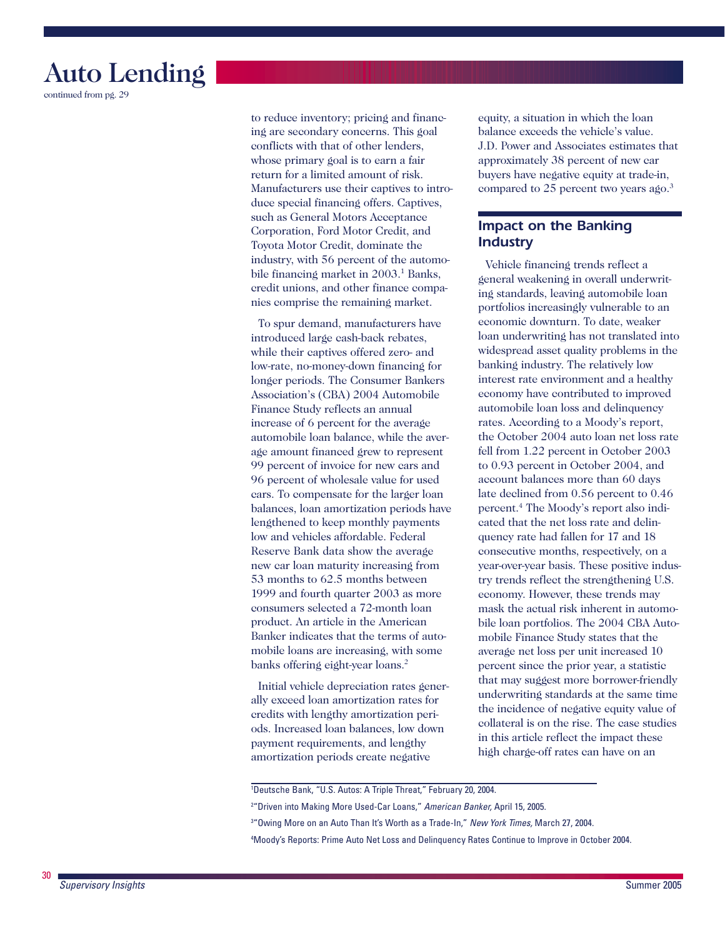

continued from pg. 29

 conflicts with that of other lenders, to reduce inventory; pricing and financing are secondary concerns. This goal whose primary goal is to earn a fair return for a limited amount of risk. Manufacturers use their captives to introduce special financing offers. Captives, such as General Motors Acceptance Corporation, Ford Motor Credit, and Toyota Motor Credit, dominate the industry, with 56 percent of the automobile financing market in 2003.<sup>1</sup> Banks, credit unions, and other finance companies comprise the remaining market.

To spur demand, manufacturers have introduced large cash-back rebates, while their captives offered zero- and low-rate, no-money-down financing for longer periods. The Consumer Bankers Association's (CBA) 2004 Automobile Finance Study reflects an annual increase of 6 percent for the average automobile loan balance, while the average amount financed grew to represent 99 percent of invoice for new cars and 96 percent of wholesale value for used cars. To compensate for the larger loan balances, loan amortization periods have lengthened to keep monthly payments low and vehicles affordable. Federal Reserve Bank data show the average new car loan maturity increasing from 53 months to 62.5 months between 1999 and fourth quarter 2003 as more consumers selected a 72-month loan product. An article in the American Banker indicates that the terms of automobile loans are increasing, with some banks offering eight-year loans.<sup>2</sup>

Initial vehicle depreciation rates generally exceed loan amortization rates for credits with lengthy amortization periods. Increased loan balances, low down payment requirements, and lengthy amortization periods create negative

equity, a situation in which the loan balance exceeds the vehicle's value. J.D. Power and Associates estimates that approximately 38 percent of new car buyers have negative equity at trade-in, compared to 25 percent two years ago.<sup>3</sup>

## *Impact on the Banking Industry*

 rates. According to a Moody's report, Vehicle financing trends reflect a general weakening in overall underwriting standards, leaving automobile loan portfolios increasingly vulnerable to an economic downturn. To date, weaker loan underwriting has not translated into widespread asset quality problems in the banking industry. The relatively low interest rate environment and a healthy economy have contributed to improved automobile loan loss and delinquency the October 2004 auto loan net loss rate fell from 1.22 percent in October 2003 to 0.93 percent in October 2004, and account balances more than 60 days late declined from 0.56 percent to 0.46 percent.4 The Moody's report also indicated that the net loss rate and delinquency rate had fallen for 17 and 18 consecutive months, respectively, on a year-over-year basis. These positive industry trends reflect the strengthening U.S. economy. However, these trends may mask the actual risk inherent in automobile loan portfolios. The 2004 CBA Automobile Finance Study states that the average net loss per unit increased 10 percent since the prior year, a statistic that may suggest more borrower-friendly underwriting standards at the same time the incidence of negative equity value of collateral is on the rise. The case studies in this article reflect the impact these high charge-off rates can have on an

1 Deutsche Bank, "U.S. Autos: A Triple Threat," February 20, 2004.

2 "Driven into Making More Used-Car Loans," *American Banker,* April 15, 2005.

3 "Owing More on an Auto Than It's Worth as a Trade-In," *New York Times,* March 27, 2004.

4 Moody's Reports: Prime Auto Net Loss and Delinquency Rates Continue to Improve in October 2004.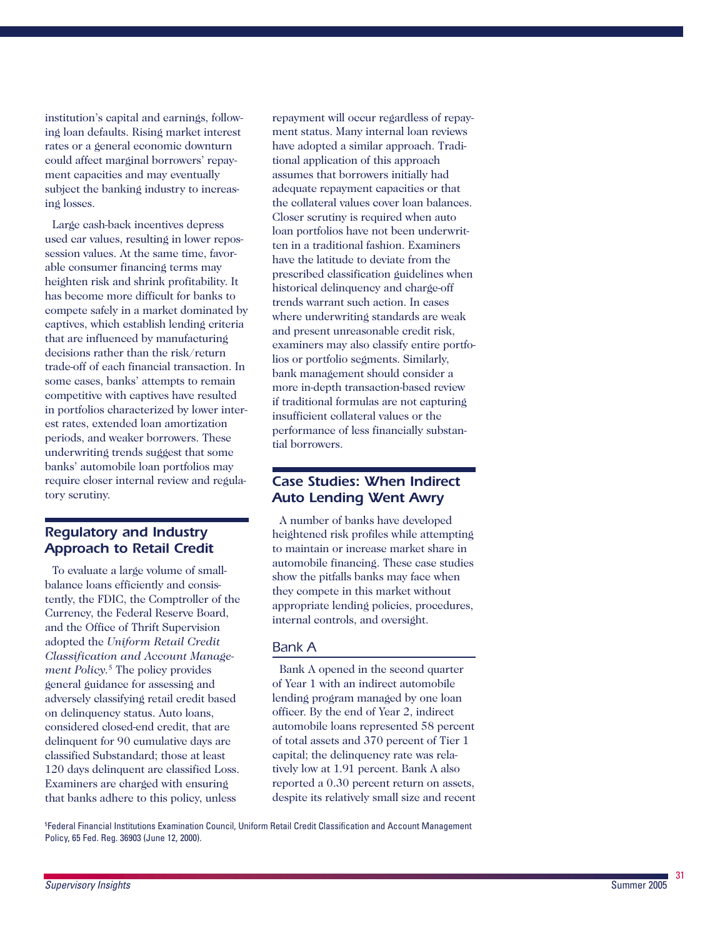institution's capital and earnings, following loan defaults. Rising market interest rates or a general economic downturn could affect marginal borrowers' repayment capacities and may eventually subject the banking industry to increas ing losses.

Large cash-back incentives depress used car values, resulting in lower repos session values. At the same time, favorable consumer financing terms may heighten risk and shrink profitability. It has become more difficult for banks to compete safely in a market dominated by captives, which establish lending criteria that are influenced by manufacturing decisions rather than the risk/return trade-off of each financial transaction. In some cases, banks' attempts to remain competitive with captives have resulted in portfolios characterized by lower interest rates, extended loan amortization periods, and weaker borrowers. These underwriting trends suggest that some banks' automobile loan portfolios may require closer internal review and regulatory scrutiny.

## *Regulatory and Industry Approach to Retail Credit*

To evaluate a large volume of smallbalance loans efficiently and consistently, the FDIC, the Comptroller of the Currency, the Federal Reserve Board, and the Office of Thrift Supervision adopted the *Uniform Retail Credit Classification and Account Manage ment Policy.*5 The policy provides general guidance for assessing and adversely classifying retail credit based on delinquency status. Auto loans, considered closed-end credit, that are delinquent for 90 cumulative days are classified Substandard; those at least 120 days delinquent are classified Loss. Examiners are charged with ensuring that banks adhere to this policy, unless

repayment will occur regardless of repayment status. Many internal loan reviews have adopted a similar approach. Tradi tional application of this approach assumes that borrowers initially had adequate repayment capacities or that the collateral values cover loan balances. Closer scrutiny is required when auto loan portfolios have not been underwritten in a traditional fashion. Examiners have the latitude to deviate from the prescribed classification guidelines when historical delinquency and charge-off trends warrant such action. In cases where underwriting standards are weak and present unreasonable credit risk, examiners may also classify entire portfo lios or portfolio segments. Similarly, bank management should consider a more in-depth transaction-based review if traditional formulas are not capturing insufficient collateral values or the performance of less financially substan tial borrowers.

## *Case Studies: When Indirect Auto Lending Went Awry*

A number of banks have developed heightened risk profiles while attempting to maintain or increase market share in automobile financing. These case studies show the pitfalls banks may face when they compete in this market without appropriate lending policies, procedures, internal controls, and oversight.

## *Bank A*

Bank A opened in the second quarter of Year 1 with an indirect automobile lending program managed by one loan officer. By the end of Year 2, indirect automobile loans represented 58 percent of total assets and 370 percent of Tier 1 capital; the delinquency rate was relatively low at 1.91 percent. Bank A also reported a 0.30 percent return on assets, despite its relatively small size and recent

5 Federal Financial Institutions Examination Council, Uniform Retail Credit Classification and Account Management Policy, 65 Fed. Reg. 36903 (June 12, 2000).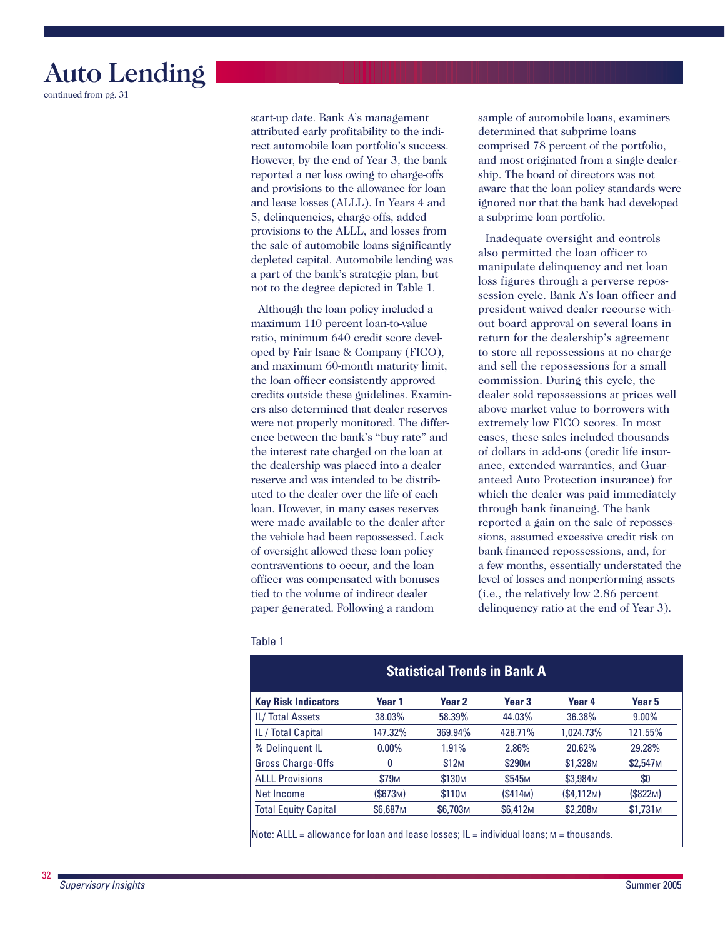# Auto Lending

continued from pg. 31

start-up date. Bank A's management attributed early profitability to the indirect automobile loan portfolio's success. However, by the end of Year 3, the bank reported a net loss owing to charge-offs and provisions to the allowance for loan and lease losses (ALLL). In Years 4 and 5, delinquencies, charge-offs, added provisions to the ALLL, and losses from the sale of automobile loans significantly depleted capital. Automobile lending was a part of the bank's strategic plan, but not to the degree depicted in Table 1.

 the dealership was placed into a dealer were made available to the dealer after Although the loan policy included a maximum 110 percent loan-to-value ratio, minimum 640 credit score developed by Fair Isaac & Company (FICO), and maximum 60-month maturity limit, the loan officer consistently approved credits outside these guidelines. Examiners also determined that dealer reserves were not properly monitored. The difference between the bank's "buy rate" and the interest rate charged on the loan at reserve and was intended to be distributed to the dealer over the life of each loan. However, in many cases reserves the vehicle had been repossessed. Lack of oversight allowed these loan policy contraventions to occur, and the loan officer was compensated with bonuses tied to the volume of indirect dealer paper generated. Following a random

sample of automobile loans, examiners determined that subprime loans comprised 78 percent of the portfolio, and most originated from a single dealership. The board of directors was not aware that the loan policy standards were ignored nor that the bank had developed a subprime loan portfolio.

 to store all repossessions at no charge Inadequate oversight and controls also permitted the loan officer to manipulate delinquency and net loan loss figures through a perverse repossession cycle. Bank A's loan officer and president waived dealer recourse without board approval on several loans in return for the dealership's agreement and sell the repossessions for a small commission. During this cycle, the dealer sold repossessions at prices well above market value to borrowers with extremely low FICO scores. In most cases, these sales included thousands of dollars in add-ons (credit life insurance, extended warranties, and Guaranteed Auto Protection insurance) for which the dealer was paid immediately through bank financing. The bank reported a gain on the sale of repossessions, assumed excessive credit risk on bank-financed repossessions, and, for a few months, essentially understated the level of losses and nonperforming assets (i.e., the relatively low 2.86 percent delinquency ratio at the end of Year 3).

### Table 1

| <b>Statistical Trends in Bank A</b> |                      |                      |                      |                      |                       |  |  |
|-------------------------------------|----------------------|----------------------|----------------------|----------------------|-----------------------|--|--|
| <b>Key Risk Indicators</b>          | Year 1               | Year 2               | Year <sub>3</sub>    | Year 4               | Year 5                |  |  |
| <b>IL/Total Assets</b>              | 38.03%               | 58.39%               | 44.03%               | 36.38%               | $9.00\%$              |  |  |
| IL / Total Capital                  | 147.32%              | 369.94%              | 428.71%              | 1.024.73%            | 121.55%               |  |  |
| % Delinquent IL                     | $0.00\%$             | 1.91%                | 2.86%                | 20.62%               | 29.28%                |  |  |
| Gross Charge-Offs                   | 0                    | \$12M                | \$290 <sub>M</sub>   | \$1,328 <sub>M</sub> | \$2,547 <sub>M</sub>  |  |  |
| <b>ALLL Provisions</b>              | <b>\$79M</b>         | \$130 <sub>M</sub>   | \$545 <sub>M</sub>   | \$3,984 <sub>M</sub> | \$0                   |  |  |
| Net Income                          | (\$673M)             | \$110 <sub>M</sub>   | (S414M)              | (S4.112M)            | (\$822 <sub>M</sub> ) |  |  |
| <b>Total Equity Capital</b>         | \$6,687 <sub>M</sub> | \$6,703 <sub>M</sub> | \$6,412 <sub>M</sub> | \$2,208M             | \$1.731 <sub>M</sub>  |  |  |

*Supervisory Insights* Summer 2005

32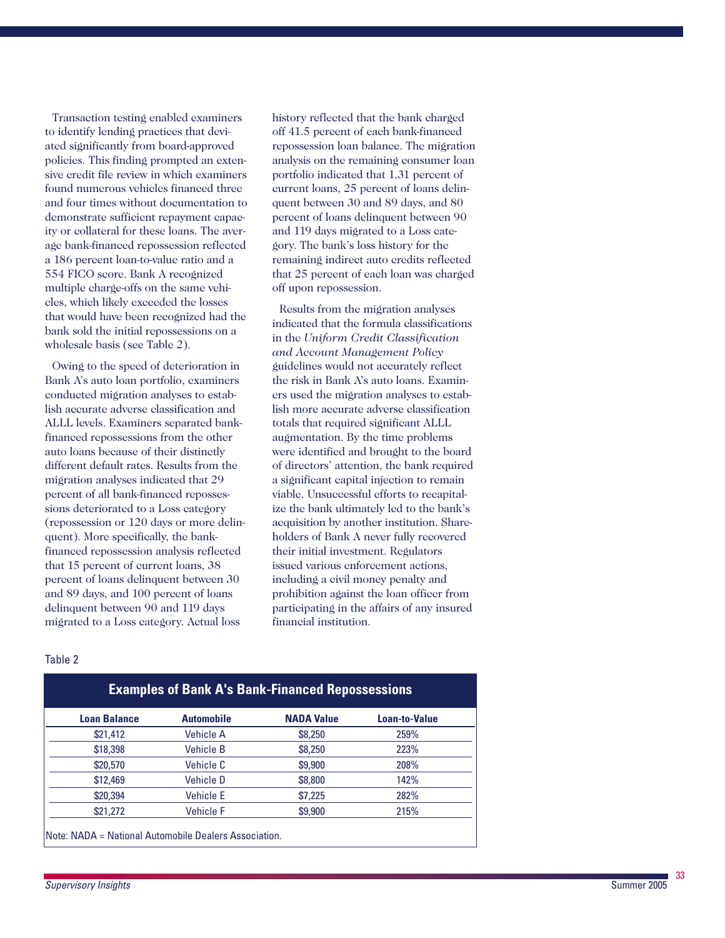Transaction testing enabled examiners to identify lending practices that deviated significantly from board-approved policies. This finding prompted an extensive credit file review in which examiners found numerous vehicles financed three and four times without documentation to demonstrate sufficient repayment capacity or collateral for these loans. The average bank-financed repossession reflected a 186 percent loan-to-value ratio and a 554 FICO score. Bank A recognized multiple charge-offs on the same vehicles, which likely exceeded the losses that would have been recognized had the bank sold the initial repossessions on a wholesale basis (see Table 2).

 sions deteriorated to a Loss category quent). More specifically, the bank- migrated to a Loss category. Actual loss Owing to the speed of deterioration in Bank A's auto loan portfolio, examiners conducted migration analyses to establish accurate adverse classification and ALLL levels. Examiners separated bankfinanced repossessions from the other auto loans because of their distinctly different default rates. Results from the migration analyses indicated that 29 percent of all bank-financed reposses-(repossession or 120 days or more delinfinanced repossession analysis reflected that 15 percent of current loans, 38 percent of loans delinquent between 30 and 89 days, and 100 percent of loans delinquent between 90 and 119 days

 and 119 days migrated to a Loss catehistory reflected that the bank charged off 41.5 percent of each bank-financed repossession loan balance. The migration analysis on the remaining consumer loan portfolio indicated that 1.31 percent of current loans, 25 percent of loans delinquent between 30 and 89 days, and 80 percent of loans delinquent between 90 gory. The bank's loss history for the remaining indirect auto credits reflected that 25 percent of each loan was charged off upon repossession.

Results from the migration analyses indicated that the formula classifications in the *Uniform Credit Classification and Account Management Policy*  guidelines would not accurately reflect the risk in Bank A's auto loans. Examiners used the migration analyses to establish more accurate adverse classification totals that required significant ALLL augmentation. By the time problems were identified and brought to the board of directors' attention, the bank required a significant capital injection to remain viable. Unsuccessful efforts to recapitalize the bank ultimately led to the bank's acquisition by another institution. Shareholders of Bank A never fully recovered their initial investment. Regulators issued various enforcement actions, including a civil money penalty and prohibition against the loan officer from participating in the affairs of any insured financial institution.

#### Table 2

| <b>Loan Balance</b> | <b>Automobile</b> | <b>NADA Value</b> | Loan-to-Value |
|---------------------|-------------------|-------------------|---------------|
| \$21,412            | Vehicle A         | \$8,250           | 259%          |
| \$18,398            | <b>Vehicle B</b>  | \$8,250           | 223%          |
| \$20,570            | Vehicle C         | \$9,900           | 208%          |
| \$12,469            | <b>Vehicle D</b>  | \$8,800           | 142%          |
| \$20,394            | <b>Vehicle E</b>  | \$7,225           | 282%          |
| \$21,272            | <b>Vehicle F</b>  | \$9,900           | 215%          |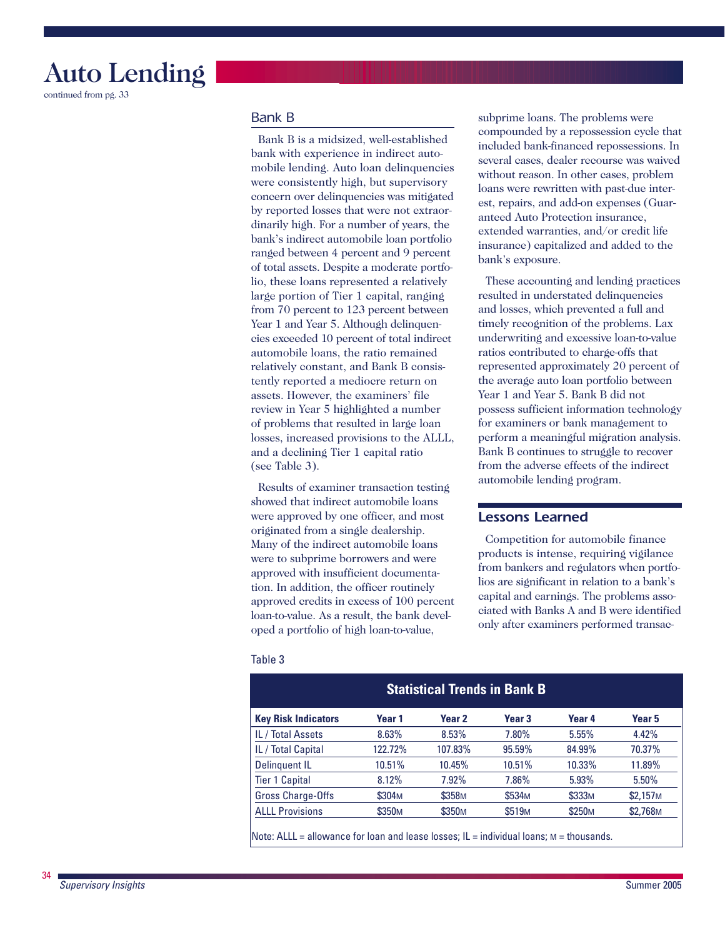# Auto Lending

continued from pg. 33

### *Bank B*

Bank B is a midsized, well-established bank with experience in indirect automobile lending. Auto loan delinquencies were consistently high, but supervisory concern over delinquencies was mitigated by reported losses that were not extraordinarily high. For a number of years, the bank's indirect automobile loan portfolio ranged between 4 percent and 9 percent of total assets. Despite a moderate portfolio, these loans represented a relatively large portion of Tier 1 capital, ranging from 70 percent to 123 percent between Year 1 and Year 5. Although delinquencies exceeded 10 percent of total indirect automobile loans, the ratio remained relatively constant, and Bank B consistently reported a mediocre return on assets. However, the examiners' file review in Year 5 highlighted a number of problems that resulted in large loan losses, increased provisions to the ALLL, and a declining Tier 1 capital ratio (see Table 3).

Results of examiner transaction testing showed that indirect automobile loans were approved by one officer, and most originated from a single dealership. Many of the indirect automobile loans were to subprime borrowers and were approved with insufficient documentation. In addition, the officer routinely approved credits in excess of 100 percent loan-to-value. As a result, the bank developed a portfolio of high loan-to-value,

 compounded by a repossession cycle that subprime loans. The problems were included bank-financed repossessions. In several cases, dealer recourse was waived without reason. In other cases, problem loans were rewritten with past-due interest, repairs, and add-on expenses (Guaranteed Auto Protection insurance, extended warranties, and/or credit life insurance) capitalized and added to the bank's exposure.

These accounting and lending practices resulted in understated delinquencies and losses, which prevented a full and timely recognition of the problems. Lax underwriting and excessive loan-to-value ratios contributed to charge-offs that represented approximately 20 percent of the average auto loan portfolio between Year 1 and Year 5. Bank B did not possess sufficient information technology for examiners or bank management to perform a meaningful migration analysis. Bank B continues to struggle to recover from the adverse effects of the indirect automobile lending program.

### *Lessons Learned*

 lios are significant in relation to a bank's Competition for automobile finance products is intense, requiring vigilance from bankers and regulators when portfocapital and earnings. The problems associated with Banks A and B were identified only after examiners performed transac-

#### Table 3

| <b>Statistical Trends in Bank B</b> |                    |                    |                    |                    |                      |  |  |  |
|-------------------------------------|--------------------|--------------------|--------------------|--------------------|----------------------|--|--|--|
| <b>Key Risk Indicators</b>          | Year 1             | Year <sub>2</sub>  | Year <sub>3</sub>  | Year 4             | Year 5               |  |  |  |
| IL / Total Assets                   | 8.63%              | 8.53%              | 7.80%              | 5.55%              | 4.42%                |  |  |  |
| IL / Total Capital                  | 122.72%            | 107.83%            | 95.59%             | 84.99%             | 70.37%               |  |  |  |
| Delinguent IL                       | 10.51%             | 10.45%             | 10.51%             | 10.33%             | 11.89%               |  |  |  |
| <b>Tier 1 Capital</b>               | 8.12%              | 7.92%              | 7.86%              | 5.93%              | $5.50\%$             |  |  |  |
| <b>Gross Charge-Offs</b>            | \$304 <sub>M</sub> | \$358 <sub>M</sub> | \$534 <sub>M</sub> | \$333M             | \$2,157M             |  |  |  |
| <b>ALLL Provisions</b>              | \$350 <sub>M</sub> | \$350 <sub>M</sub> | \$519 <sub>M</sub> | \$250 <sub>M</sub> | \$2,768 <sub>M</sub> |  |  |  |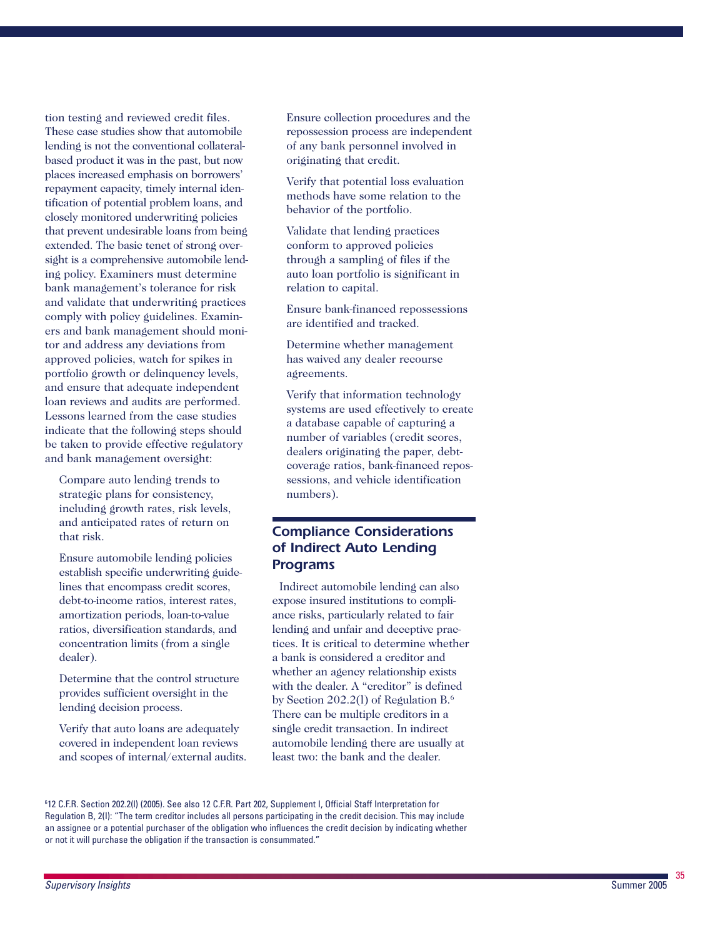tion testing and reviewed credit files. These case studies show that automobile lending is not the conventional collateralbased product it was in the past, but now places increased emphasis on borrowers' repayment capacity, timely internal iden tification of potential problem loans, and closely monitored underwriting policies that prevent undesirable loans from being extended. The basic tenet of strong oversight is a comprehensive automobile lend ing policy. Examiners must determine bank management's tolerance for risk and validate that underwriting practices comply with policy guidelines. Examin ers and bank management should moni tor and address any deviations from approved policies, watch for spikes in portfolio growth or delinquency levels, and ensure that adequate independent loan reviews and audits are performed. Lessons learned from the case studies indicate that the following steps should be taken to provide effective regulatory and bank management oversight:

Compare auto lending trends to strategic plans for consistency, including growth rates, risk levels, and anticipated rates of return on that risk.

Ensure automobile lending policies establish specific underwriting guide lines that encompass credit scores, debt-to-income ratios, interest rates, amortization periods, loan-to-value ratios, diversification standards, and concentration limits (from a single dealer).

Determine that the control structure provides sufficient oversight in the lending decision process.

Verify that auto loans are adequately covered in independent loan reviews and scopes of internal/external audits.

Ensure collection procedures and the repossession process are independent of any bank personnel involved in originating that credit.

Verify that potential loss evaluation methods have some relation to the behavior of the portfolio.

Validate that lending practices conform to approved policies through a sampling of files if the auto loan portfolio is significant in relation to capital.

Ensure bank-financed repossessions are identified and tracked.

Determine whether management has waived any dealer recourse agreements.

Verify that information technology systems are used effectively to create a database capable of capturing a number of variables (credit scores, dealers originating the paper, debtcoverage ratios, bank-financed repos sessions, and vehicle identification numbers).

# *Compliance Considerations of Indirect Auto Lending Programs*

Indirect automobile lending can also expose insured institutions to compli ance risks, particularly related to fair lending and unfair and deceptive prac tices. It is critical to determine whether a bank is considered a creditor and whether an agency relationship exists with the dealer. A "creditor" is defined by Section 202.2(l) of Regulation B.6 There can be multiple creditors in a single credit transaction. In indirect automobile lending there are usually at least two: the bank and the dealer.

6 12 C.F.R. Section 202.2(l) (2005). See also 12 C.F.R. Part 202, Supplement I, Official Staff Interpretation for Regulation B, 2(I): "The term creditor includes all persons participating in the credit decision. This may include an assignee or a potential purchaser of the obligation who influences the credit decision by indicating whether or not it will purchase the obligation if the transaction is consummated."